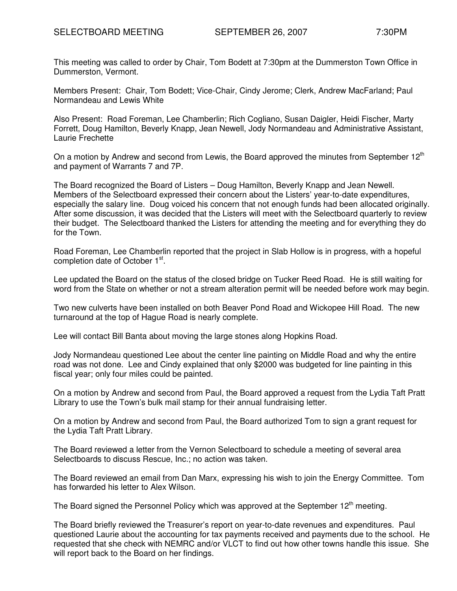This meeting was called to order by Chair, Tom Bodett at 7:30pm at the Dummerston Town Office in Dummerston, Vermont.

Members Present: Chair, Tom Bodett; Vice-Chair, Cindy Jerome; Clerk, Andrew MacFarland; Paul Normandeau and Lewis White

Also Present: Road Foreman, Lee Chamberlin; Rich Cogliano, Susan Daigler, Heidi Fischer, Marty Forrett, Doug Hamilton, Beverly Knapp, Jean Newell, Jody Normandeau and Administrative Assistant, Laurie Frechette

On a motion by Andrew and second from Lewis, the Board approved the minutes from September  $12<sup>th</sup>$ and payment of Warrants 7 and 7P.

The Board recognized the Board of Listers – Doug Hamilton, Beverly Knapp and Jean Newell. Members of the Selectboard expressed their concern about the Listers' year-to-date expenditures, especially the salary line. Doug voiced his concern that not enough funds had been allocated originally. After some discussion, it was decided that the Listers will meet with the Selectboard quarterly to review their budget. The Selectboard thanked the Listers for attending the meeting and for everything they do for the Town.

Road Foreman, Lee Chamberlin reported that the project in Slab Hollow is in progress, with a hopeful completion date of October 1<sup>st</sup>.

Lee updated the Board on the status of the closed bridge on Tucker Reed Road. He is still waiting for word from the State on whether or not a stream alteration permit will be needed before work may begin.

Two new culverts have been installed on both Beaver Pond Road and Wickopee Hill Road. The new turnaround at the top of Hague Road is nearly complete.

Lee will contact Bill Banta about moving the large stones along Hopkins Road.

Jody Normandeau questioned Lee about the center line painting on Middle Road and why the entire road was not done. Lee and Cindy explained that only \$2000 was budgeted for line painting in this fiscal year; only four miles could be painted.

On a motion by Andrew and second from Paul, the Board approved a request from the Lydia Taft Pratt Library to use the Town's bulk mail stamp for their annual fundraising letter.

On a motion by Andrew and second from Paul, the Board authorized Tom to sign a grant request for the Lydia Taft Pratt Library.

The Board reviewed a letter from the Vernon Selectboard to schedule a meeting of several area Selectboards to discuss Rescue, Inc.; no action was taken.

The Board reviewed an email from Dan Marx, expressing his wish to join the Energy Committee. Tom has forwarded his letter to Alex Wilson.

The Board signed the Personnel Policy which was approved at the September  $12<sup>th</sup>$  meeting.

The Board briefly reviewed the Treasurer's report on year-to-date revenues and expenditures. Paul questioned Laurie about the accounting for tax payments received and payments due to the school. He requested that she check with NEMRC and/or VLCT to find out how other towns handle this issue. She will report back to the Board on her findings.